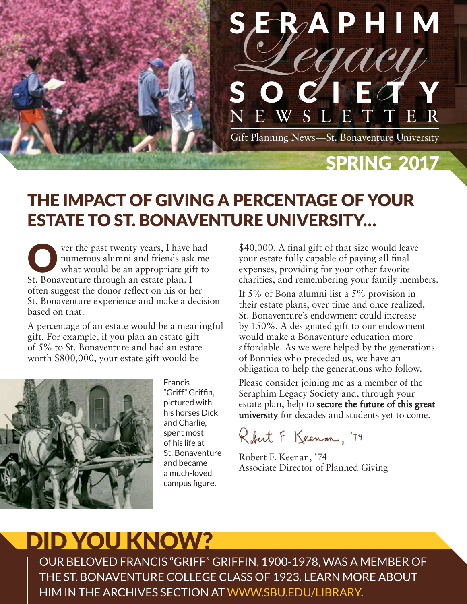

### THE IMPACT OF GIVING A PERCENTAGE OF YOUR ESTATE TO ST. BONAVENTURE UNIVERSITY…

Over the past twenty years, I have had numerous alumni and friends ask me what would be an appropriate gift to numerous alumni and friends ask me St. Bonaventure through an estate plan. I often suggest the donor reflect on his or her St. Bonaventure experience and make a decision based on that.

A percentage of an estate would be a meaningful gift. For example, if you plan an estate gift of 5% to St. Bonaventure and had an estate worth \$800,000, your estate gift would be



Francis "Griff" Griffin, pictured with his horses Dick and Charlie, spent most of his life at St. Bonaventure and became a much-loved campus figure.

\$40,000. A final gift of that size would leave your estate fully capable of paying all final expenses, providing for your other favorite charities, and remembering your family members.

If 5% of Bona alumni list a 5% provision in their estate plans, over time and once realized, St. Bonaventure's endowment could increase by 150%. A designated gift to our endowment would make a Bonaventure education more affordable. As we were helped by the generations of Bonnies who preceded us, we have an obligation to help the generations who follow.

Please consider joining me as a member of the Seraphim Legacy Society and, through your estate plan, help to secure the future of this great university for decades and students yet to come.

Robert F Keenan, '74

Robert F. Keenan, '74 Associate Director of Planned Giving

# DID YOU KNOW?

OUR BELOVED FRANCIS "GRIFF" GRIFFIN, 1900-1978, WAS A MEMBER OF THE ST. BONAVENTURE COLLEGE CLASS OF 1923. LEARN MORE ABOUT HIM IN THE ARCHIVES SECTION AT WWW.SBU.EDU/LIBRARY.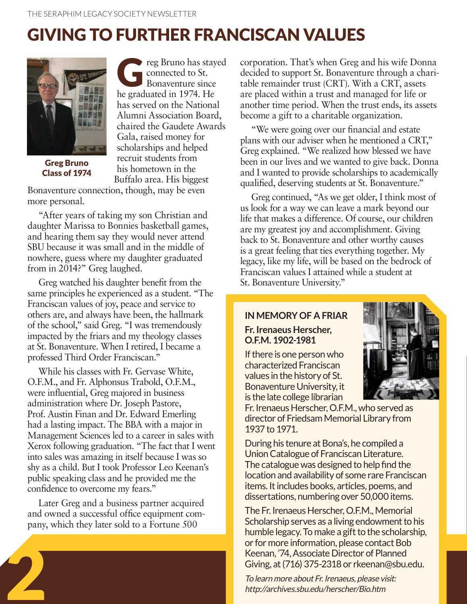## GIVING TO FURTHER FRANCISCAN VALUES



Greg Bruno Class of 1974

reg Bruno has stayed connected to St. Bonaventure since he graduated in 1974. He has served on the National Alumni Association Board, chaired the Gaudete Awards Gala, raised money for scholarships and helped recruit students from his hometown in the Buffalo area. His biggest

Bonaventure connection, though, may be even more personal.

"After years of taking my son Christian and daughter Marissa to Bonnies basketball games, and hearing them say they would never attend SBU because it was small and in the middle of nowhere, guess where my daughter graduated from in 2014?" Greg laughed.

Greg watched his daughter benefit from the same principles he experienced as a student. "The Franciscan values of joy, peace and service to others are, and always have been, the hallmark of the school," said Greg. "I was tremendously impacted by the friars and my theology classes at St. Bonaventure. When I retired, I became a professed Third Order Franciscan."

While his classes with Fr. Gervase White, O.F.M., and Fr. Alphonsus Trabold, O.F.M., were influential, Greg majored in business administration where Dr. Joseph Pastore, Prof. Austin Finan and Dr. Edward Emerling had a lasting impact. The BBA with a major in Management Sciences led to a career in sales with Xerox following graduation. "The fact that I went into sales was amazing in itself because I was so shy as a child. But I took Professor Leo Keenan's public speaking class and he provided me the confidence to overcome my fears."

Later Greg and a business partner acquired and owned a successful office equipment company, which they later sold to a Fortune 500

corporation. That's when Greg and his wife Donna decided to support St. Bonaventure through a charitable remainder trust (CRT). With a CRT, assets are placed within a trust and managed for life or another time period. When the trust ends, its assets become a gift to a charitable organization.

"We were going over our financial and estate plans with our adviser when he mentioned a CRT," Greg explained. "We realized how blessed we have been in our lives and we wanted to give back. Donna and I wanted to provide scholarships to academically qualified, deserving students at St. Bonaventure."

Greg continued, "As we get older, I think most of us look for a way we can leave a mark beyond our life that makes a difference. Of course, our children are my greatest joy and accomplishment. Giving back to St. Bonaventure and other worthy causes is a great feeling that ties everything together. My legacy, like my life, will be based on the bedrock of Franciscan values I attained while a student at St. Bonaventure University."

#### **IN MEMORY OF A FRIAR Fr. Irenaeus Herscher, O.F.M. 1902-1981**

If there is one person who characterized Franciscan values in the history of St. Bonaventure University, it is the late college librarian

Fr. Irenaeus Herscher, O.F.M., who served as director of Friedsam Memorial Library from 1937 to 1971.

During his tenure at Bona's, he compiled a Union Catalogue of Franciscan Literature. The catalogue was designed to help find the location and availability of some rare Franciscan items. It includes books, articles, poems, and dissertations, numbering over 50,000 items.

The Fr. Irenaeus Herscher, O.F.M., Memorial Scholarship serves as a living endowment to his humble legacy. To make a gift to the scholarship, or for more information, please contact Bob Keenan, '74, Associate Director of Planned Giving, at (716) 375-2318 or rkeenan@sbu.edu. or for more information, please conta<br>
Keenan, '74, Associate Director of Pla<br>
Giving, at (716) 375-2318 or rkeenan<br>
To learn more about Fr. Irenaeus, please vi<br>
http://archives.sbu.edu/herscher/Bio.htm

To learn more about Fr. Irenaeus, please visit: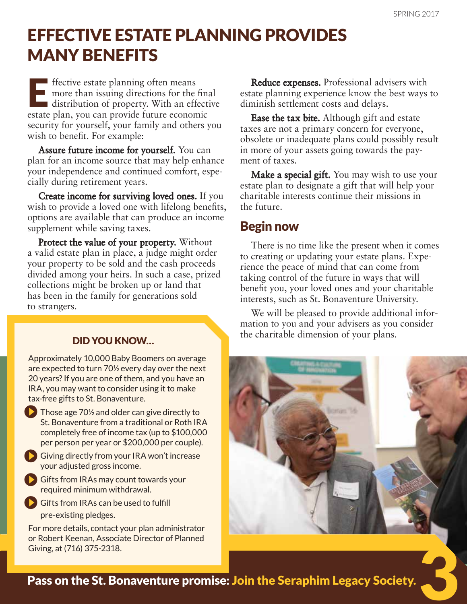## EFFECTIVE ESTATE PLANNING PROVIDES MANY BENEFITS

Effective estate planning often means<br>more than issuing directions for the<br>distribution of property. With an eff more than issuing directions for the final distribution of property. With an effective estate plan, you can provide future economic security for yourself, your family and others you wish to benefit. For example:

Assure future income for yourself. You can plan for an income source that may help enhance your independence and continued comfort, especially during retirement years.

Create income for surviving loved ones. If you wish to provide a loved one with lifelong benefits, options are available that can produce an income supplement while saving taxes.

Protect the value of your property. Without a valid estate plan in place, a judge might order your property to be sold and the cash proceeds divided among your heirs. In such a case, prized collections might be broken up or land that has been in the family for generations sold to strangers.

#### DID YOU KNOW…

Approximately 10,000 Baby Boomers on average are expected to turn 70½ every day over the next 20 years? If you are one of them, and you have an IRA, you may want to consider using it to make tax-free gifts to St. Bonaventure.

 $\sum$  Those age 70<sup> $\frac{1}{2}$ </sup> and older can give directly to St. Bonaventure from a traditional or Roth IRA completely free of income tax (up to \$100,000 per person per year or \$200,000 per couple).

- Giving directly from your IRA won't increase your adjusted gross income.
- Gifts from IRAs may count towards your required minimum withdrawal.
- Gifts from IRAs can be used to fulfill pre-existing pledges.

For more details, contact your plan administrator or Robert Keenan, Associate Director of Planned Giving, at (716) 375-2318.

Reduce expenses. Professional advisers with estate planning experience know the best ways to diminish settlement costs and delays.

Ease the tax bite. Although gift and estate taxes are not a primary concern for everyone, obsolete or inadequate plans could possibly result in more of your assets going towards the payment of taxes.

**Make a special gift.** You may wish to use your estate plan to designate a gift that will help your charitable interests continue their missions in the future.

#### Begin now

There is no time like the present when it comes to creating or updating your estate plans. Experience the peace of mind that can come from taking control of the future in ways that will benefit you, your loved ones and your charitable interests, such as St. Bonaventure University.

We will be pleased to provide additional information to you and your advisers as you consider the charitable dimension of your plans.



Pass on the St. Bonaventure promise: Join the Seraphim Legacy Society.